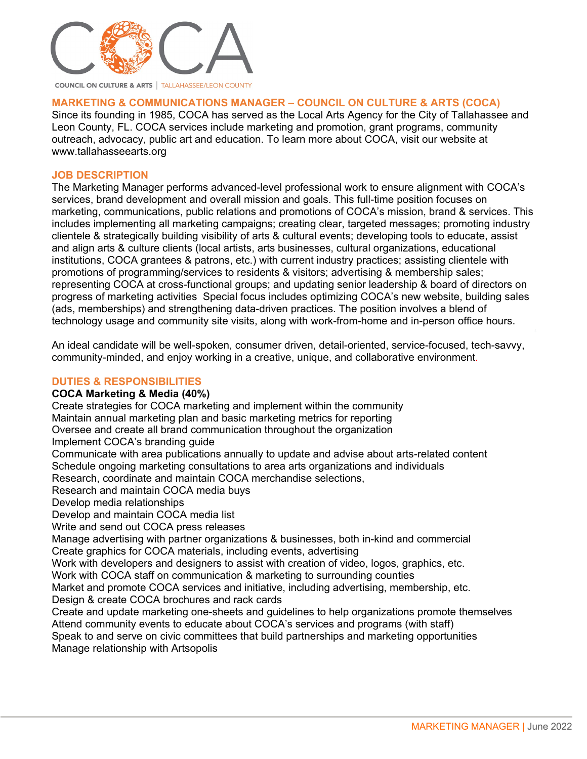

**MARKETING & COMMUNICATIONS MANAGER – COUNCIL ON CULTURE & ARTS (COCA)**

Since its founding in 1985, COCA has served as the Local Arts Agency for the City of Tallahassee and Leon County, FL. COCA services include marketing and promotion, grant programs, community outreach, advocacy, public art and education. To learn more about COCA, visit our website at www.tallahasseearts.org

#### **JOB DESCRIPTION**

The Marketing Manager performs advanced-level professional work to ensure alignment with COCA's services, brand development and overall mission and goals. This full-time position focuses on marketing, communications, public relations and promotions of COCA's mission, brand & services. This includes implementing all marketing campaigns; creating clear, targeted messages; promoting industry clientele & strategically building visibility of arts & cultural events; developing tools to educate, assist and align arts & culture clients (local artists, arts businesses, cultural organizations, educational institutions, COCA grantees & patrons, etc.) with current industry practices; assisting clientele with promotions of programming/services to residents & visitors; advertising & membership sales; representing COCA at cross-functional groups; and updating senior leadership & board of directors on progress of marketing activities Special focus includes optimizing COCA's new website, building sales (ads, memberships) and strengthening data-driven practices. The position involves a blend of technology usage and community site visits, along with work-from-home and in-person office hours.

An ideal candidate will be well-spoken, consumer driven, detail-oriented, service-focused, tech-savvy, community-minded, and enjoy working in a creative, unique, and collaborative environment.

#### **DUTIES & RESPONSIBILITIES**

#### **COCA Marketing & Media (40%)**

Create strategies for COCA marketing and implement within the community Maintain annual marketing plan and basic marketing metrics for reporting Oversee and create all brand communication throughout the organization Implement COCA's branding guide Communicate with area publications annually to update and advise about arts-related content Schedule ongoing marketing consultations to area arts organizations and individuals Research, coordinate and maintain COCA merchandise selections, Research and maintain COCA media buys Develop media relationships Develop and maintain COCA media list Write and send out COCA press releases Manage advertising with partner organizations & businesses, both in-kind and commercial Create graphics for COCA materials, including events, advertising Work with developers and designers to assist with creation of video, logos, graphics, etc. Work with COCA staff on communication & marketing to surrounding counties Market and promote COCA services and initiative, including advertising, membership, etc. Design & create COCA brochures and rack cards Create and update marketing one-sheets and guidelines to help organizations promote themselves Attend community events to educate about COCA's services and programs (with staff) Speak to and serve on civic committees that build partnerships and marketing opportunities Manage relationship with Artsopolis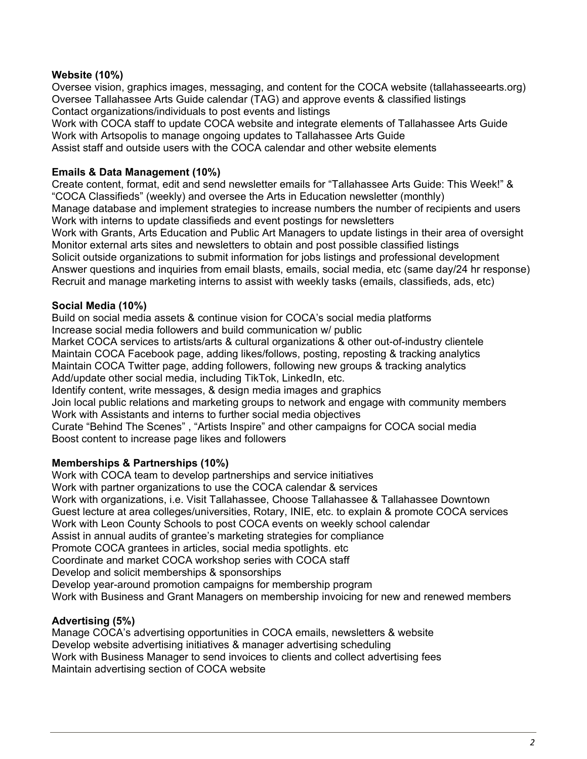### **Website (10%)**

Oversee vision, graphics images, messaging, and content for the COCA website (tallahasseearts.org) Oversee Tallahassee Arts Guide calendar (TAG) and approve events & classified listings Contact organizations/individuals to post events and listings

Work with COCA staff to update COCA website and integrate elements of Tallahassee Arts Guide Work with Artsopolis to manage ongoing updates to Tallahassee Arts Guide Assist staff and outside users with the COCA calendar and other website elements

# **Emails & Data Management (10%)**

Create content, format, edit and send newsletter emails for "Tallahassee Arts Guide: This Week!" & "COCA Classifieds" (weekly) and oversee the Arts in Education newsletter (monthly) Manage database and implement strategies to increase numbers the number of recipients and users Work with interns to update classifieds and event postings for newsletters Work with Grants, Arts Education and Public Art Managers to update listings in their area of oversight Monitor external arts sites and newsletters to obtain and post possible classified listings Solicit outside organizations to submit information for jobs listings and professional development Answer questions and inquiries from email blasts, emails, social media, etc (same day/24 hr response) Recruit and manage marketing interns to assist with weekly tasks (emails, classifieds, ads, etc)

#### **Social Media (10%)**

Build on social media assets & continue vision for COCA's social media platforms

Increase social media followers and build communication w/ public Market COCA services to artists/arts & cultural organizations & other out-of-industry clientele

Maintain COCA Facebook page, adding likes/follows, posting, reposting & tracking analytics Maintain COCA Twitter page, adding followers, following new groups & tracking analytics Add/update other social media, including TikTok, LinkedIn, etc.

Identify content, write messages, & design media images and graphics

Join local public relations and marketing groups to network and engage with community members Work with Assistants and interns to further social media objectives

Curate "Behind The Scenes" , "Artists Inspire" and other campaigns for COCA social media Boost content to increase page likes and followers

#### **Memberships & Partnerships (10%)**

Work with COCA team to develop partnerships and service initiatives Work with partner organizations to use the COCA calendar & services Work with organizations, i.e. Visit Tallahassee, Choose Tallahassee & Tallahassee Downtown Guest lecture at area colleges/universities, Rotary, INIE, etc. to explain & promote COCA services Work with Leon County Schools to post COCA events on weekly school calendar Assist in annual audits of grantee's marketing strategies for compliance Promote COCA grantees in articles, social media spotlights. etc Coordinate and market COCA workshop series with COCA staff Develop and solicit memberships & sponsorships Develop year-around promotion campaigns for membership program Work with Business and Grant Managers on membership invoicing for new and renewed members

#### **Advertising (5%)**

Manage COCA's advertising opportunities in COCA emails, newsletters & website Develop website advertising initiatives & manager advertising scheduling Work with Business Manager to send invoices to clients and collect advertising fees Maintain advertising section of COCA website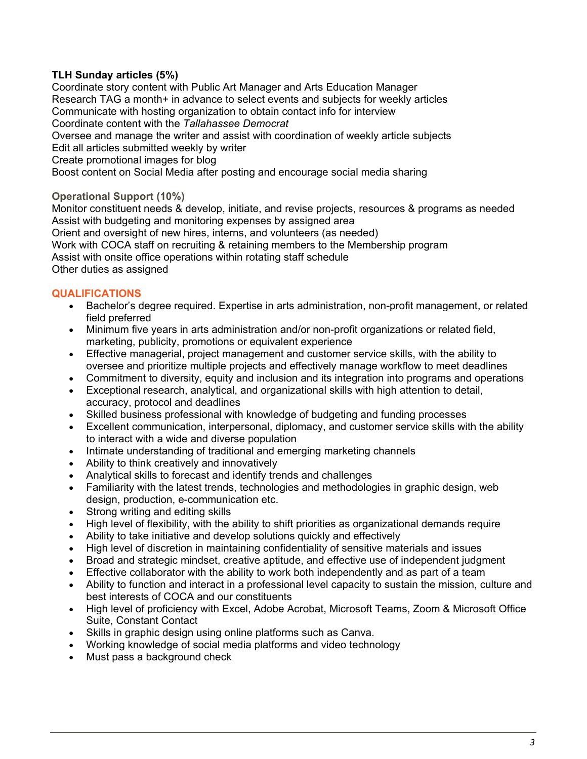## **TLH Sunday articles (5%)**

Coordinate story content with Public Art Manager and Arts Education Manager Research TAG a month+ in advance to select events and subjects for weekly articles Communicate with hosting organization to obtain contact info for interview Coordinate content with the *Tallahassee Democrat*  Oversee and manage the writer and assist with coordination of weekly article subjects Edit all articles submitted weekly by writer Create promotional images for blog Boost content on Social Media after posting and encourage social media sharing

#### **Operational Support (10%)**

Monitor constituent needs & develop, initiate, and revise projects, resources & programs as needed Assist with budgeting and monitoring expenses by assigned area Orient and oversight of new hires, interns, and volunteers (as needed) Work with COCA staff on recruiting & retaining members to the Membership program Assist with onsite office operations within rotating staff schedule Other duties as assigned

## **QUALIFICATIONS**

- Bachelor's degree required. Expertise in arts administration, non-profit management, or related field preferred
- Minimum five years in arts administration and/or non-profit organizations or related field, marketing, publicity, promotions or equivalent experience
- Effective managerial, project management and customer service skills, with the ability to oversee and prioritize multiple projects and effectively manage workflow to meet deadlines
- Commitment to diversity, equity and inclusion and its integration into programs and operations
- Exceptional research, analytical, and organizational skills with high attention to detail, accuracy, protocol and deadlines
- Skilled business professional with knowledge of budgeting and funding processes
- Excellent communication, interpersonal, diplomacy, and customer service skills with the ability to interact with a wide and diverse population
- Intimate understanding of traditional and emerging marketing channels
- Ability to think creatively and innovatively
- Analytical skills to forecast and identify trends and challenges
- Familiarity with the latest trends, technologies and methodologies in graphic design, web design, production, e-communication etc.
- Strong writing and editing skills
- High level of flexibility, with the ability to shift priorities as organizational demands require
- Ability to take initiative and develop solutions quickly and effectively
- High level of discretion in maintaining confidentiality of sensitive materials and issues
- Broad and strategic mindset, creative aptitude, and effective use of independent judgment
- Effective collaborator with the ability to work both independently and as part of a team
- Ability to function and interact in a professional level capacity to sustain the mission, culture and best interests of COCA and our constituents
- High level of proficiency with Excel, Adobe Acrobat, Microsoft Teams, Zoom & Microsoft Office Suite, Constant Contact
- Skills in graphic design using online platforms such as Canva.
- Working knowledge of social media platforms and video technology
- Must pass a background check